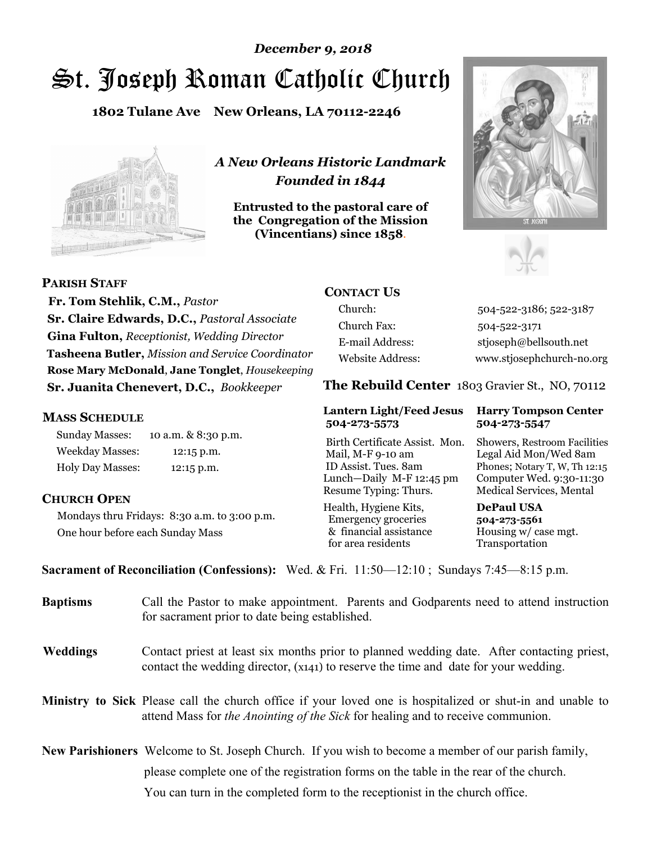# St. Joseph Roman Catholic Church *December 9, 2018*

**1802 Tulane Ave New Orleans, LA 70112-2246**



*A New Orleans Historic Landmark Founded in 1844* 

**Entrusted to the pastoral care of the Congregation of the Mission (Vincentians) since 1858**.





 **Fr. Tom Stehlik, C.M.,** *Pastor* **Sr. Claire Edwards, D.C.,** *Pastoral Associate* 

**Gina Fulton,** *Receptionist, Wedding Director* **Tasheena Butler,** *Mission and Service Coordinator* **Rose Mary McDonald**, **Jane Tonglet**, *Housekeeping* **Sr. Juanita Chenevert, D.C.,** *Bookkeeper* 

#### **MASS SCHEDULE**

**PARISH STAFF**

Sunday Masses: 10 a.m. & 8:30 p.m. Weekday Masses: 12:15 p.m. Holy Day Masses: 12:15 p.m.

#### **CHURCH OPEN**

Mondays thru Fridays: 8:30 a.m. to 3:00 p.m. One hour before each Sunday Mass

## **CONTACT US**

Church: 504-522-3186; 522-3187 Church Fax: 504-522-3171 E-mail Address: stjoseph@bellsouth.net Website Address: www.stjosephchurch-no.org

**The Rebuild Center** 1803 Gravier St., NO, 70112

#### **Lantern Light/Feed Jesus Harry Tompson Center 504-273-5573 504-273-5547**

Birth Certificate Assist. Mon. Showers, Restroom Facilities Mail, M-F 9-10 am Legal Aid Mon/Wed 8am ID Assist. Tues. 8am Phones; Notary T, W, Th 12:15 Lunch—Daily M-F 12:45 pm Computer Wed. 9:30-11:30 Resume Typing: Thurs. Medical Services, Mental

Health, Hygiene Kits, **DePaul USA**  Emergency groceries **504-273-5561** & financial assistance Housing w/ case mgt.<br>for area residents Transportation for area residents

**Sacrament of Reconciliation (Confessions):** Wed. & Fri. 11:50—12:10 ; Sundays 7:45—8:15 p.m.

| <b>Baptisms</b> | Call the Pastor to make appointment. Parents and Godparents need to attend instruction<br>for sacrament prior to date being established.                                                            |
|-----------------|-----------------------------------------------------------------------------------------------------------------------------------------------------------------------------------------------------|
| <b>Weddings</b> | Contact priest at least six months prior to planned wedding date. After contacting priest,<br>contact the wedding director, (x141) to reserve the time and date for your wedding.                   |
|                 | <b>Ministry to Sick</b> Please call the church office if your loved one is hospitalized or shut-in and unable to<br>attend Mass for the Anointing of the Sick for healing and to receive communion. |
|                 | <b>New Parishioners</b> Welcome to St. Joseph Church. If you wish to become a member of our parish family,                                                                                          |
|                 | please complete one of the registration forms on the table in the rear of the church.                                                                                                               |
|                 | You can turn in the completed form to the receptionist in the church office.                                                                                                                        |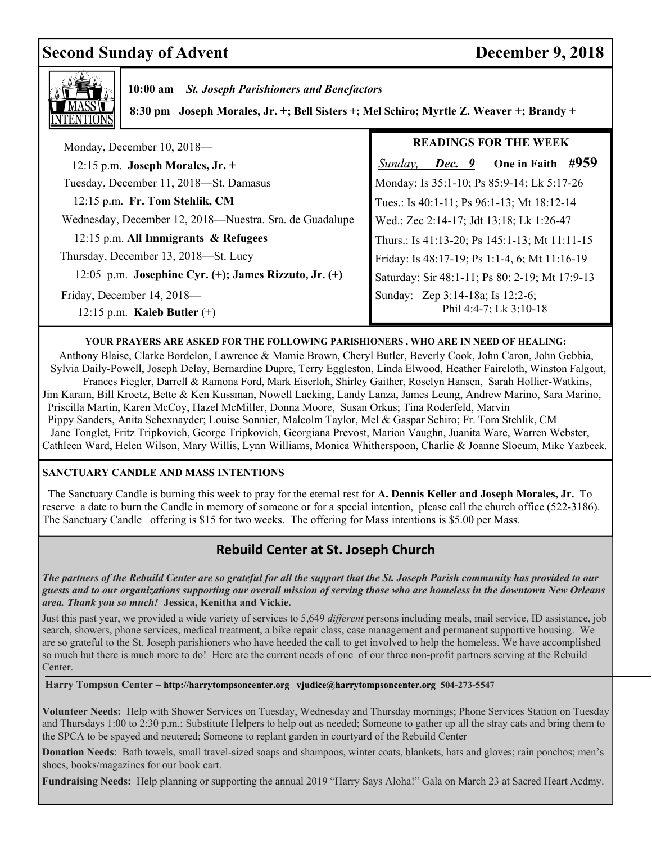## **Second Sunday of Advent December 9, 2018**



 **10:00 am** *St. Joseph Parishioners and Benefactors*

 **8:30 pm Joseph Morales, Jr. +; Bell Sisters +; Mel Schiro; Myrtle Z. Weaver +; Brandy +** 

| Monday, December 10, 2018-                                  | <b>READINGS FOR THE WEEK</b>                               |
|-------------------------------------------------------------|------------------------------------------------------------|
| 12:15 p.m. Joseph Morales, Jr. +                            | #959<br>One in Faith<br>Sunday,<br>Dec. 9                  |
| Tuesday, December 11, 2018-St. Damasus                      | Monday: Is 35:1-10; Ps 85:9-14; Lk 5:17-26                 |
| 12:15 p.m. Fr. Tom Stehlik, CM                              | Tues.: Is 40:1-11; Ps 96:1-13; Mt 18:12-14                 |
| Wednesday, December 12, 2018—Nuestra. Sra. de Guadalupe     | Wed.: Zec 2:14-17; Jdt 13:18; Lk 1:26-47                   |
| 12:15 p.m. All Immigrants & Refugees                        | Thurs.: Is 41:13-20; Ps 145:1-13; Mt 11:11-15              |
| Thursday, December 13, 2018-St. Lucy                        | Friday: Is 48:17-19; Ps 1:1-4, 6; Mt 11:16-19              |
| 12:05 p.m. Josephine Cyr. $(+)$ ; James Rizzuto, Jr. $(+)$  | Saturday: Sir 48:1-11; Ps 80: 2-19; Mt 17:9-13             |
| Friday, December 14, 2018-<br>12:15 p.m. Kaleb Butler $(+)$ | Sunday: Zep 3:14-18a; Is 12:2-6;<br>Phil 4:4-7; Lk 3:10-18 |

#### **YOUR PRAYERS ARE ASKED FOR THE FOLLOWING PARISHIONERS , WHO ARE IN NEED OF HEALING:**

 Anthony Blaise, Clarke Bordelon, Lawrence & Mamie Brown, Cheryl Butler, Beverly Cook, John Caron, John Gebbia, Sylvia Daily-Powell, Joseph Delay, Bernardine Dupre, Terry Eggleston, Linda Elwood, Heather Faircloth, Winston Falgout, Frances Fiegler, Darrell & Ramona Ford, Mark Eiserloh, Shirley Gaither, Roselyn Hansen, Sarah Hollier-Watkins, Jim Karam, Bill Kroetz, Bette & Ken Kussman, Nowell Lacking, Landy Lanza, James Leung, Andrew Marino, Sara Marino, Priscilla Martin, Karen McCoy, Hazel McMiller, Donna Moore, Susan Orkus; Tina Roderfeld, Marvin Pippy Sanders, Anita Schexnayder; Louise Sonnier, Malcolm Taylor, Mel & Gaspar Schiro; Fr. Tom Stehlik, CM Jane Tonglet, Fritz Tripkovich, George Tripkovich, Georgiana Prevost, Marion Vaughn, Juanita Ware, Warren Webster, Cathleen Ward, Helen Wilson, Mary Willis, Lynn Williams, Monica Whitherspoon, Charlie & Joanne Slocum, Mike Yazbeck.

#### **SANCTUARY CANDLE AND MASS INTENTIONS**

 The Sanctuary Candle is burning this week to pray for the eternal rest for **A. Dennis Keller and Joseph Morales, Jr.** To reserve a date to burn the Candle in memory of someone or for a special intention, please call the church office (522-3186). The Sanctuary Candle offering is \$15 for two weeks. The offering for Mass intentions is \$5.00 per Mass.

### **Rebuild Center at St. Joseph Church**

 *The partners of the Rebuild Center are so grateful for all the support that the St. Joseph Parish community has provided to our guests and to our organizations supporting our overall mission of serving those who are homeless in the downtown New Orleans area. Thank you so much!* **Jessica, Kenitha and Vickie.** 

Just this past year, we provided a wide variety of services to 5,649 *different* persons including meals, mail service, ID assistance, job search, showers, phone services, medical treatment, a bike repair class, case management and permanent supportive housing. We are so grateful to the St. Joseph parishioners who have heeded the call to get involved to help the homeless. We have accomplished so much but there is much more to do! Here are the current needs of one of our three non-profit partners serving at the Rebuild Center.

**Harry Tompson Center – http://harrytompsoncenter.org vjudice@harrytompsoncenter.org 504-273-5547** 

**Volunteer Needs:** Help with Shower Services on Tuesday, Wednesday and Thursday mornings; Phone Services Station on Tuesday and Thursdays 1:00 to 2:30 p.m.; Substitute Helpers to help out as needed; Someone to gather up all the stray cats and bring them to the SPCA to be spayed and neutered; Someone to replant garden in courtyard of the Rebuild Center

**Donation Needs**: Bath towels, small travel-sized soaps and shampoos, winter coats, blankets, hats and gloves; rain ponchos; men's shoes, books/magazines for our book cart.

**Fundraising Needs:** Help planning or supporting the annual 2019 "Harry Says Aloha!" Gala on March 23 at Sacred Heart Acdmy.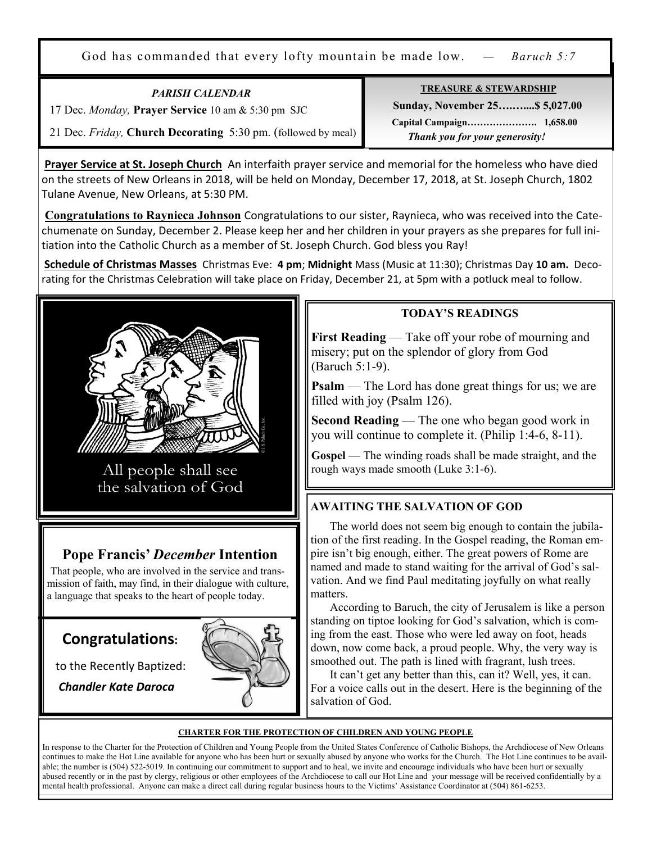God has commanded that every lofty mountain be made low. *— Baruch 5:7*

*PARISH CALENDAR* 

17 Dec. *Monday,* **Prayer Service** 10 am & 5:30 pm SJC

21 Dec. *Friday,* **Church Decorating** 5:30 pm. (followed by meal)

**Prayer Service at St. Joseph Church** An interfaith prayer service and memorial for the homeless who have died on the streets of New Orleans in 2018, will be held on Monday, December 17, 2018, at St. Joseph Church, 1802 Tulane Avenue, New Orleans, at 5:30 PM.

**Congratulations to Raynieca Johnson** Congratulations to our sister, Raynieca, who was received into the Catechumenate on Sunday, December 2. Please keep her and her children in your prayers as she prepares for full initiation into the Catholic Church as a member of St. Joseph Church. God bless you Ray!

**Schedule of Christmas Masses** Christmas Eve: **4 pm**; **Midnight** Mass (Music at 11:30); Christmas Day **10 am.** Decorating for the Christmas Celebration will take place on Friday, December 21, at 5pm with a potluck meal to follow.



All people shall see the salvation of God

## **Pope Francis'** *December* **Intention**

That people, who are involved in the service and transmission of faith, may find, in their dialogue with culture, a language that speaks to the heart of people today.

## **Congratulations:**

.

to the Recently Baptized:

*Chandler Kate Daroca*



### **TODAY'S READINGS**

**First Reading** — Take off your robe of mourning and misery; put on the splendor of glory from God (Baruch 5:1-9).

**Psalm** — The Lord has done great things for us; we are filled with joy (Psalm 126).

**Second Reading** — The one who began good work in you will continue to complete it. (Philip 1:4-6, 8-11).

**Gospel** — The winding roads shall be made straight, and the rough ways made smooth (Luke 3:1-6).

### **AWAITING THE SALVATION OF GOD**

 The world does not seem big enough to contain the jubilation of the first reading. In the Gospel reading, the Roman empire isn't big enough, either. The great powers of Rome are named and made to stand waiting for the arrival of God's salvation. And we find Paul meditating joyfully on what really matters.

 According to Baruch, the city of Jerusalem is like a person standing on tiptoe looking for God's salvation, which is coming from the east. Those who were led away on foot, heads down, now come back, a proud people. Why, the very way is smoothed out. The path is lined with fragrant, lush trees.

 It can't get any better than this, can it? Well, yes, it can. For a voice calls out in the desert. Here is the beginning of the salvation of God.

#### **CHARTER FOR THE PROTECTION OF CHILDREN AND YOUNG PEOPLE**

In response to the Charter for the Protection of Children and Young People from the United States Conference of Catholic Bishops, the Archdiocese of New Orleans continues to make the Hot Line available for anyone who has been hurt or sexually abused by anyone who works for the Church. The Hot Line continues to be available; the number is (504) 522-5019. In continuing our commitment to support and to heal, we invite and encourage individuals who have been hurt or sexually abused recently or in the past by clergy, religious or other employees of the Archdiocese to call our Hot Line and your message will be received confidentially by a mental health professional. Anyone can make a direct call during regular business hours to the Victims' Assistance Coordinator at (504) 861-6253.

#### **TREASURE & STEWARDSHIP**

 **Sunday, November 25….…....\$ 5,027.00 Capital Campaign…………………. 1,658.00**   *Thank you for your generosity!*